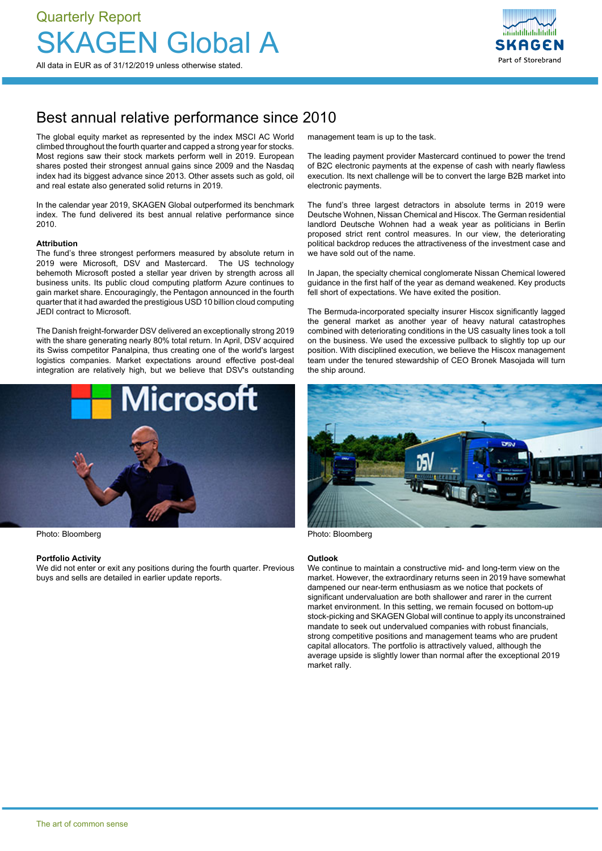

## Best annual relative performance since 2010

The global equity market as represented by the index MSCI AC World climbed throughout the fourth quarter and capped a strong year for stocks. Most regions saw their stock markets perform well in 2019. European shares posted their strongest annual gains since 2009 and the Nasdaq index had its biggest advance since 2013. Other assets such as gold, oil and real estate also generated solid returns in 2019.

In the calendar year 2019, SKAGEN Global outperformed its benchmark index. The fund delivered its best annual relative performance since 2010.

#### **Attribution**

The fund's three strongest performers measured by absolute return in 2019 were Microsoft, DSV and Mastercard. The US technology behemoth Microsoft posted a stellar year driven by strength across all business units. Its public cloud computing platform Azure continues to gain market share. Encouragingly, the Pentagon announced in the fourth quarter that it had awarded the prestigious USD 10 billion cloud computing JEDI contract to Microsoft.

The Danish freight-forwarder DSV delivered an exceptionally strong 2019 with the share generating nearly 80% total return. In April, DSV acquired its Swiss competitor Panalpina, thus creating one of the world's largest logistics companies. Market expectations around effective post-deal integration are relatively high, but we believe that DSV's outstanding



Photo: Bloomberg **Photo: Bloomberg** Photo: Bloomberg Photo: Bloomberg Photo: Bloomberg

#### **Portfolio Activity**

We did not enter or exit any positions during the fourth quarter. Previous buys and sells are detailed in earlier update reports.

management team is up to the task.

The leading payment provider Mastercard continued to power the trend of B2C electronic payments at the expense of cash with nearly flawless execution. Its next challenge will be to convert the large B2B market into electronic payments.

The fund's three largest detractors in absolute terms in 2019 were Deutsche Wohnen, Nissan Chemical and Hiscox. The German residential landlord Deutsche Wohnen had a weak year as politicians in Berlin proposed strict rent control measures. In our view, the deteriorating political backdrop reduces the attractiveness of the investment case and we have sold out of the name.

In Japan, the specialty chemical conglomerate Nissan Chemical lowered guidance in the first half of the year as demand weakened. Key products fell short of expectations. We have exited the position.

The Bermuda-incorporated specialty insurer Hiscox significantly lagged the general market as another year of heavy natural catastrophes combined with deteriorating conditions in the US casualty lines took a toll on the business. We used the excessive pullback to slightly top up our position. With disciplined execution, we believe the Hiscox management team under the tenured stewardship of CEO Bronek Masojada will turn the ship around.



#### **Outlook**

We continue to maintain a constructive mid- and long-term view on the market. However, the extraordinary returns seen in 2019 have somewhat dampened our near-term enthusiasm as we notice that pockets of significant undervaluation are both shallower and rarer in the current market environment. In this setting, we remain focused on bottom-up stock-picking and SKAGEN Global will continue to apply its unconstrained mandate to seek out undervalued companies with robust financials, strong competitive positions and management teams who are prudent capital allocators. The portfolio is attractively valued, although the average upside is slightly lower than normal after the exceptional 2019 market rally.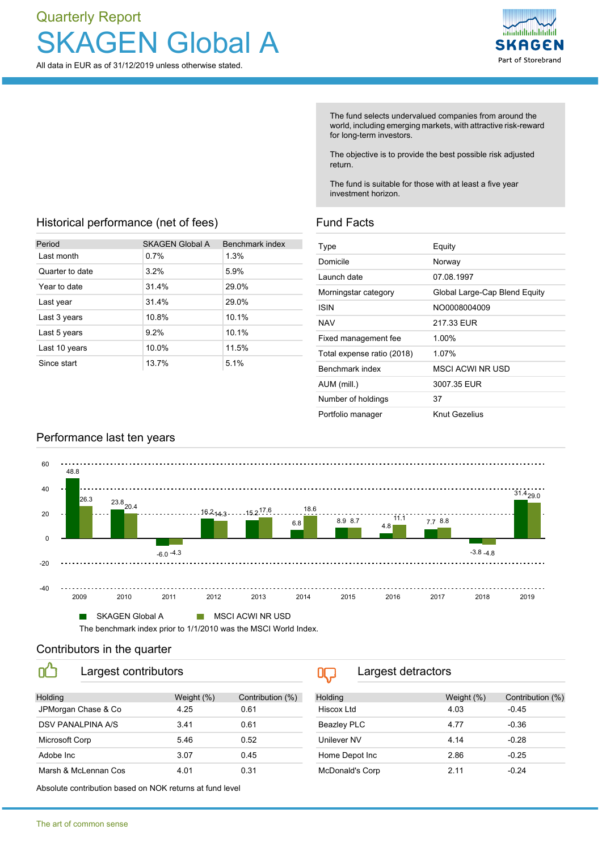# Quarterly Report **KAGEN Global A**

All data in EUR as of 31/12/2019 unless otherwise stated.



The fund selects undervalued companies from around the world, including emerging markets, with attractive risk-reward for long-term investors.

The objective is to provide the best possible risk adjusted return.

The fund is suitable for those with at least a five year investment horizon.

### Historical performance (net of fees)

| Period          | <b>SKAGEN Global A</b> | Benchmark index |
|-----------------|------------------------|-----------------|
| Last month      | 0.7%                   | 1.3%            |
| Quarter to date | 3.2%                   | 5.9%            |
| Year to date    | 31.4%                  | 29.0%           |
| Last year       | 31.4%                  | 29.0%           |
| Last 3 years    | 10.8%                  | 10.1%           |
| Last 5 years    | 9.2%                   | 10.1%           |
| Last 10 years   | 10.0%                  | 11.5%           |
| Since start     | 13.7%                  | 5.1%            |

## Fund Facts

| Type                       | Equity                        |
|----------------------------|-------------------------------|
| Domicile                   | Norway                        |
| Launch date                | 07.08.1997                    |
| Morningstar category       | Global Large-Cap Blend Equity |
| ISIN                       | NO0008004009                  |
| <b>NAV</b>                 | 217.33 EUR                    |
| Fixed management fee       | 1.00%                         |
| Total expense ratio (2018) | 1.07%                         |
| Benchmark index            | MSCLACWLNR USD                |
| AUM (mill.)                | 3007.35 EUR                   |
| Number of holdings         | 37                            |
| Portfolio manager          | Knut Gezelius                 |



#### Contributors in the quarter

OÔ

Largest contributors

| Holding              | Weight (%) | Contribution (%) |
|----------------------|------------|------------------|
| JPMorgan Chase & Co  | 4 25       | 0 61             |
| DSV PANALPINA A/S    | 341        | 0 61             |
| Microsoft Corp       | 5.46       | 0.52             |
| Adobe Inc            | 3.07       | 0.45             |
| Marsh & McLennan Cos | 4.01       | 0.31             |

 $0$ Largest detractors

| Holding            | Weight (%) | Contribution (%) |
|--------------------|------------|------------------|
| Hiscox Ltd         | 4.03       | $-0.45$          |
| <b>Beazley PLC</b> | 4.77       | $-0.36$          |
| Unilever NV        | 4 14       | $-0.28$          |
| Home Depot Inc     | 2.86       | $-0.25$          |
| McDonald's Corp    | 2 1 1      | -0.24            |

Absolute contribution based on NOK returns at fund level